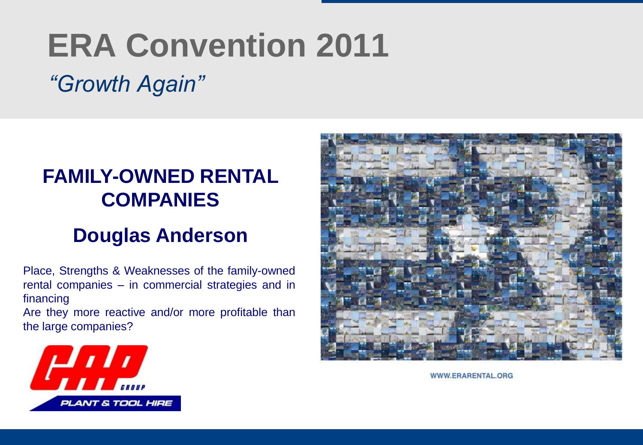# **ERA Convention 2011**

# *"Growth Again"*

#### **FAMILY-OWNED RENTAL COMPANIES**

#### **Douglas Anderson**

Place, Strengths & Weaknesses of the family-owned rental companies – in commercial strategies and in financing

Are they more reactive and/or more profitable than the large companies?



WWW.ERARENTAL.ORG

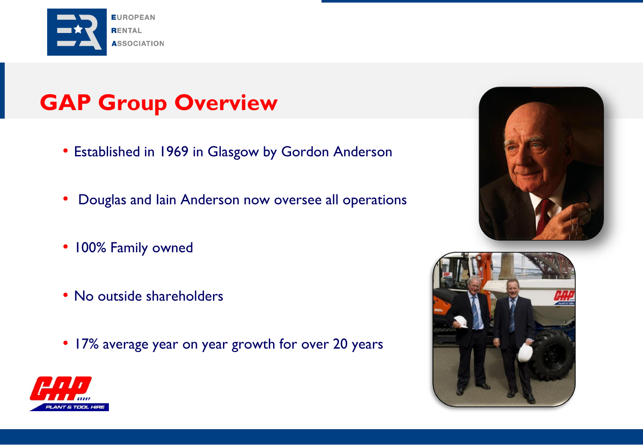

# **GAP Group Overview**

- Established in 1969 in Glasgow by Gordon Anderson
- Douglas and Iain Anderson now oversee all operations
- 100% Family owned
- No outside shareholders
- 17% average year on year growth for over 20 years





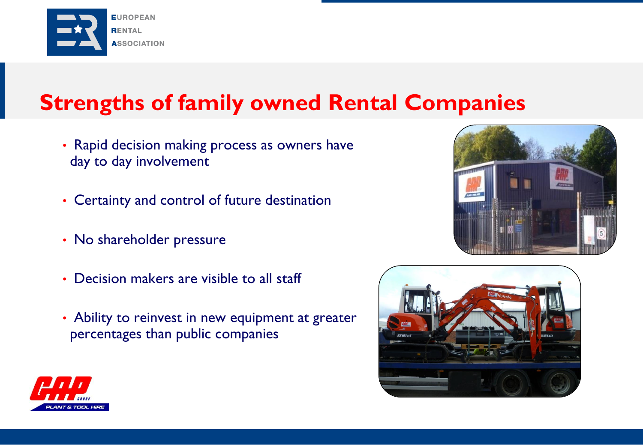

## **Strengths of family owned Rental Companies**

- Rapid decision making process as owners have day to day involvement
- Certainty and control of future destination
- No shareholder pressure
- Decision makers are visible to all staff
- Ability to reinvest in new equipment at greater percentages than public companies





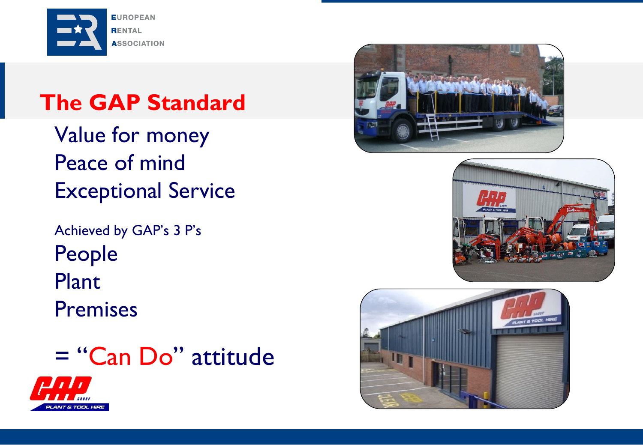

# **The GAP Standard**

Value for money Peace of mind Exceptional Service

Achieved by GAP's 3 P's People Plant Premises

= "Can Do" attitude







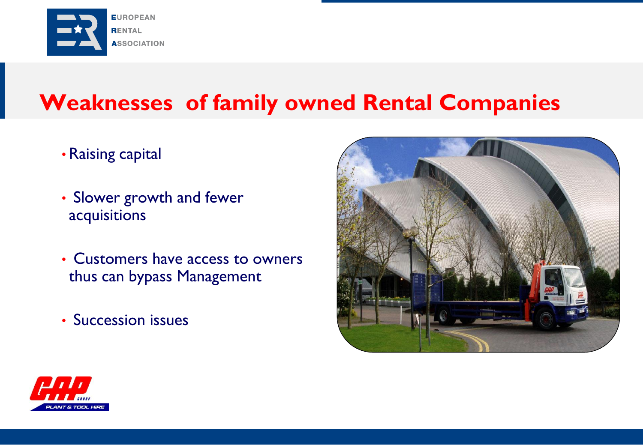

# **Weaknesses of family owned Rental Companies**

- Raising capital
- Slower growth and fewer acquisitions
- Customers have access to owners thus can bypass Management
- Succession issues